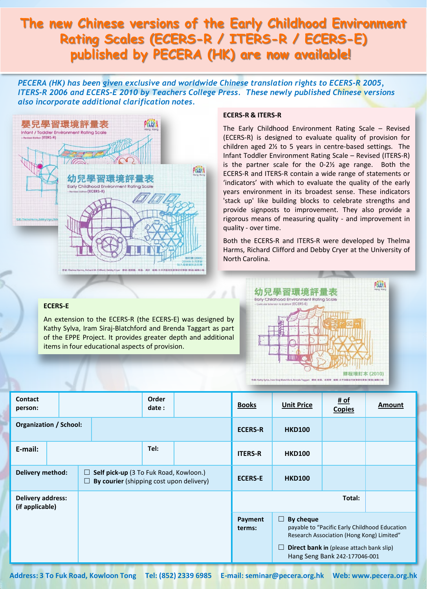## **The new Chinese versions of the Early Childhood Environment Rating Scales (ECERS-R / ITERS-R / ECERS-E) published by PECERA (HK) are now available!**

*PECERA (HK) has been given exclusive and worldwide Chinese translation rights to ECERS-R 2005, ITERS-R 2006 and ECERS-E 2010 by Teachers College Press. These newly published Chinese versions also incorporate additional clarification notes.* 



### **ECERS-R & ITERS-R**

The Early Childhood Environment Rating Scale – Revised (ECERS-R) is designed to evaluate quality of provision for children aged 2½ to 5 years in centre-based settings. The Infant Toddler Environment Rating Scale – Revised (ITERS-R) is the partner scale for the 0-2½ age range. Both the ECERS-R and ITERS-R contain a wide range of statements or 'indicators' with which to evaluate the quality of the early years environment in its broadest sense. These indicators 'stack up' like building blocks to celebrate strengths and provide signposts to improvement. They also provide a rigorous means of measuring quality - and improvement in quality - over time.

Both the ECERS-R and ITERS-R were developed by Thelma Harms, Richard Clifford and Debby Cryer at the University of North Carolina.

#### **ECERS-E**

An extension to the ECERS-R (the ECERS-E) was designed by Kathy Sylva, Iram Siraj-Blatchford and Brenda Taggart as part of the EPPE Project. It provides greater depth and additional items in four educational aspects of provision.



| <b>Contact</b><br>person:                   |  |  |                                                                                                   | Order<br>date: |  | <b>Books</b>      | <b>Unit Price</b>                                                                                                                                                                                  | # of<br><b>Copies</b> | Amount |
|---------------------------------------------|--|--|---------------------------------------------------------------------------------------------------|----------------|--|-------------------|----------------------------------------------------------------------------------------------------------------------------------------------------------------------------------------------------|-----------------------|--------|
| <b>Organization / School:</b>               |  |  |                                                                                                   |                |  | <b>ECERS-R</b>    | <b>HKD100</b>                                                                                                                                                                                      |                       |        |
| E-mail:                                     |  |  |                                                                                                   | Tel:           |  | <b>ITERS-R</b>    | <b>HKD100</b>                                                                                                                                                                                      |                       |        |
| <b>Delivery method:</b>                     |  |  | Self pick-up (3 To Fuk Road, Kowloon.)<br>$\Box$<br>By courier (shipping cost upon delivery)<br>ш |                |  | <b>ECERS-E</b>    | <b>HKD100</b>                                                                                                                                                                                      |                       |        |
| <b>Delivery address:</b><br>(if applicable) |  |  |                                                                                                   |                |  |                   |                                                                                                                                                                                                    | Total:                |        |
|                                             |  |  |                                                                                                   |                |  | Payment<br>terms: | $\Box$ By cheque<br>payable to "Pacific Early Childhood Education<br>Research Association (Hong Kong) Limited"<br>$\Box$ Direct bank in (please attach bank slip)<br>Hang Seng Bank 242-177046-001 |                       |        |